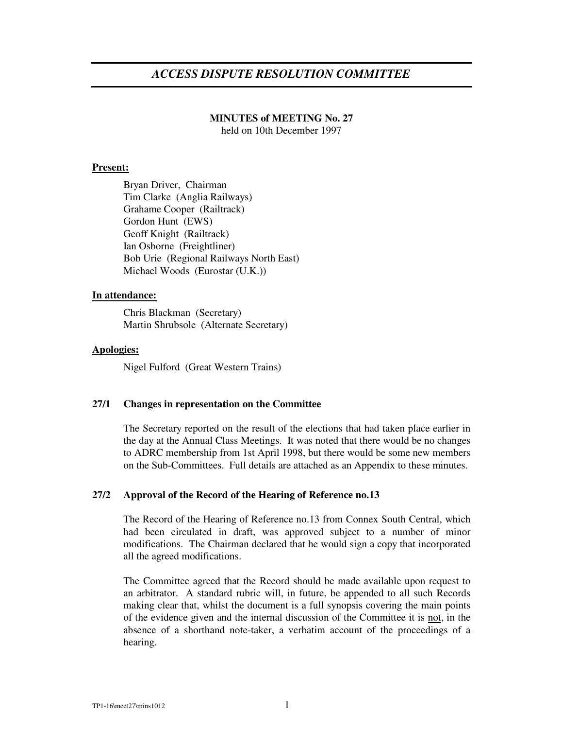# *ACCESS DISPUTE RESOLUTION COMMITTEE*

# **MINUTES of MEETING No. 27**

held on 10th December 1997

## **Present:**

Bryan Driver, Chairman Tim Clarke (Anglia Railways) Grahame Cooper (Railtrack) Gordon Hunt (EWS) Geoff Knight (Railtrack) Ian Osborne (Freightliner) Bob Urie (Regional Railways North East) Michael Woods (Eurostar (U.K.))

## **In attendance:**

Chris Blackman (Secretary) Martin Shrubsole (Alternate Secretary)

## **Apologies:**

Nigel Fulford (Great Western Trains)

#### **27/1 Changes in representation on the Committee**

The Secretary reported on the result of the elections that had taken place earlier in the day at the Annual Class Meetings. It was noted that there would be no changes to ADRC membership from 1st April 1998, but there would be some new members on the Sub-Committees. Full details are attached as an Appendix to these minutes.

#### **27/2 Approval of the Record of the Hearing of Reference no.13**

The Record of the Hearing of Reference no.13 from Connex South Central, which had been circulated in draft, was approved subject to a number of minor modifications. The Chairman declared that he would sign a copy that incorporated all the agreed modifications.

The Committee agreed that the Record should be made available upon request to an arbitrator. A standard rubric will, in future, be appended to all such Records making clear that, whilst the document is a full synopsis covering the main points of the evidence given and the internal discussion of the Committee it is not, in the absence of a shorthand note-taker, a verbatim account of the proceedings of a hearing.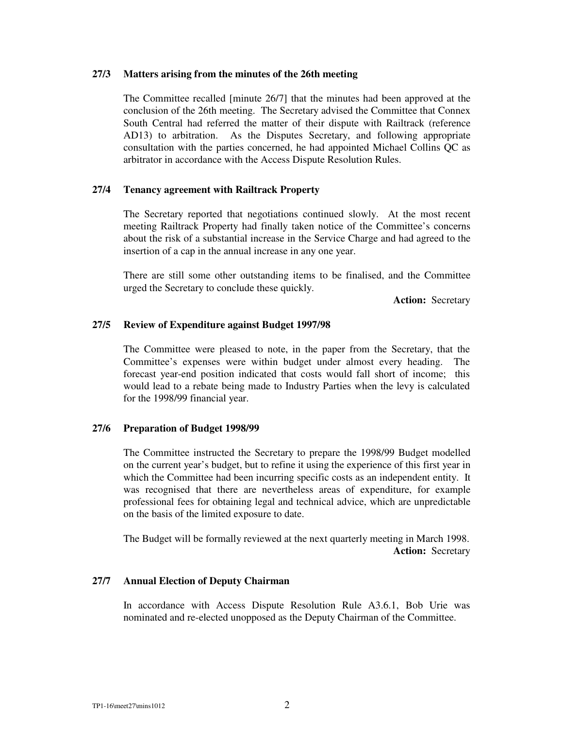## **27/3 Matters arising from the minutes of the 26th meeting**

The Committee recalled [minute 26/7] that the minutes had been approved at the conclusion of the 26th meeting. The Secretary advised the Committee that Connex South Central had referred the matter of their dispute with Railtrack (reference AD13) to arbitration. As the Disputes Secretary, and following appropriate consultation with the parties concerned, he had appointed Michael Collins QC as arbitrator in accordance with the Access Dispute Resolution Rules.

## **27/4 Tenancy agreement with Railtrack Property**

The Secretary reported that negotiations continued slowly. At the most recent meeting Railtrack Property had finally taken notice of the Committee's concerns about the risk of a substantial increase in the Service Charge and had agreed to the insertion of a cap in the annual increase in any one year.

There are still some other outstanding items to be finalised, and the Committee urged the Secretary to conclude these quickly.

**Action:** Secretary

## **27/5 Review of Expenditure against Budget 1997/98**

The Committee were pleased to note, in the paper from the Secretary, that the Committee's expenses were within budget under almost every heading. The forecast year-end position indicated that costs would fall short of income; this would lead to a rebate being made to Industry Parties when the levy is calculated for the 1998/99 financial year.

# **27/6 Preparation of Budget 1998/99**

The Committee instructed the Secretary to prepare the 1998/99 Budget modelled on the current year's budget, but to refine it using the experience of this first year in which the Committee had been incurring specific costs as an independent entity. It was recognised that there are nevertheless areas of expenditure, for example professional fees for obtaining legal and technical advice, which are unpredictable on the basis of the limited exposure to date.

The Budget will be formally reviewed at the next quarterly meeting in March 1998. **Action:** Secretary

#### **27/7 Annual Election of Deputy Chairman**

In accordance with Access Dispute Resolution Rule A3.6.1, Bob Urie was nominated and re-elected unopposed as the Deputy Chairman of the Committee.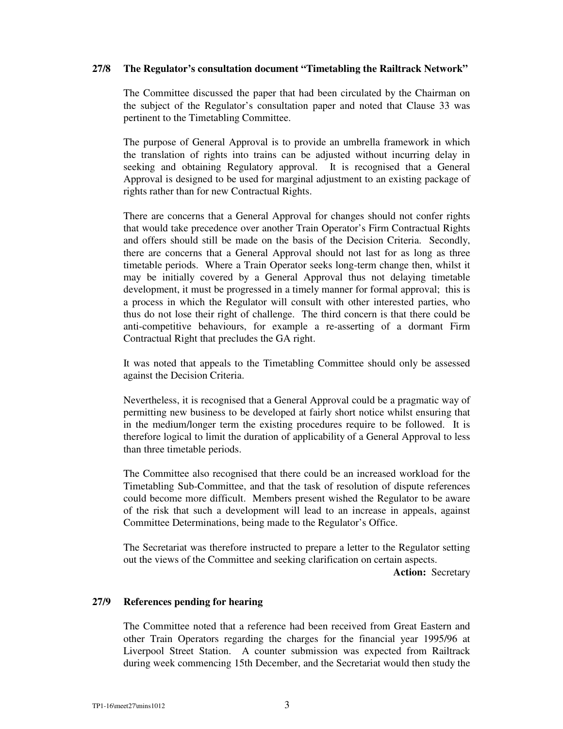## **27/8 The Regulator's consultation document "Timetabling the Railtrack Network"**

The Committee discussed the paper that had been circulated by the Chairman on the subject of the Regulator's consultation paper and noted that Clause 33 was pertinent to the Timetabling Committee.

The purpose of General Approval is to provide an umbrella framework in which the translation of rights into trains can be adjusted without incurring delay in seeking and obtaining Regulatory approval. It is recognised that a General Approval is designed to be used for marginal adjustment to an existing package of rights rather than for new Contractual Rights.

There are concerns that a General Approval for changes should not confer rights that would take precedence over another Train Operator's Firm Contractual Rights and offers should still be made on the basis of the Decision Criteria. Secondly, there are concerns that a General Approval should not last for as long as three timetable periods. Where a Train Operator seeks long-term change then, whilst it may be initially covered by a General Approval thus not delaying timetable development, it must be progressed in a timely manner for formal approval; this is a process in which the Regulator will consult with other interested parties, who thus do not lose their right of challenge. The third concern is that there could be anti-competitive behaviours, for example a re-asserting of a dormant Firm Contractual Right that precludes the GA right.

It was noted that appeals to the Timetabling Committee should only be assessed against the Decision Criteria.

Nevertheless, it is recognised that a General Approval could be a pragmatic way of permitting new business to be developed at fairly short notice whilst ensuring that in the medium/longer term the existing procedures require to be followed. It is therefore logical to limit the duration of applicability of a General Approval to less than three timetable periods.

The Committee also recognised that there could be an increased workload for the Timetabling Sub-Committee, and that the task of resolution of dispute references could become more difficult. Members present wished the Regulator to be aware of the risk that such a development will lead to an increase in appeals, against Committee Determinations, being made to the Regulator's Office.

The Secretariat was therefore instructed to prepare a letter to the Regulator setting out the views of the Committee and seeking clarification on certain aspects.

**Action:** Secretary

# **27/9 References pending for hearing**

The Committee noted that a reference had been received from Great Eastern and other Train Operators regarding the charges for the financial year 1995/96 at Liverpool Street Station. A counter submission was expected from Railtrack during week commencing 15th December, and the Secretariat would then study the